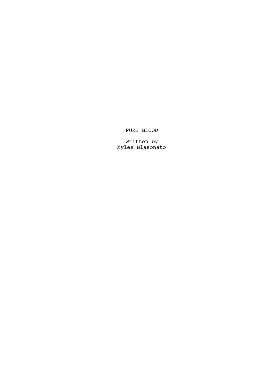# PURE BLOOD

Written by Myles Blasonato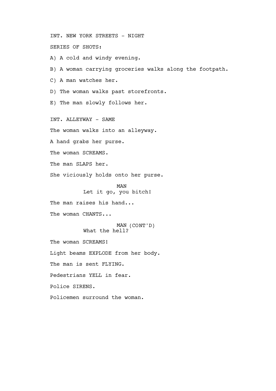INT. NEW YORK STREETS - NIGHT SERIES OF SHOTS:

A) A cold and windy evening.

B) A woman carrying groceries walks along the footpath.

C) A man watches her.

D) The woman walks past storefronts.

E) The man slowly follows her.

INT. ALLEYWAY - SAME

The woman walks into an alleyway.

A hand grabs her purse.

The woman SCREAMS.

The man SLAPS her.

She viciously holds onto her purse.

MAN Let it go, you bitch!

The man raises his hand...

The woman CHANTS...

MAN (CONT'D) What the hell?

The woman SCREAMS!

Light beams EXPLODE from her body.

The man is sent FLYING.

Pedestrians YELL in fear.

Police SIRENS.

Policemen surround the woman.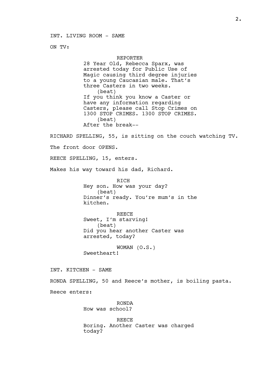INT. LIVING ROOM - SAME

ON TV:

## REPORTER

28 Year Old, Rebecca Sparx, was arrested today for Public Use of Magic causing third degree injuries to a young Caucasian male. That's three Casters in two weeks. (beat) If you think you know a Caster or have any information regarding Casters, please call Stop Crimes on 1300 STOP CRIMES. 1300 STOP CRIMES. (beat) After the break--

RICHARD SPELLING, 55, is sitting on the couch watching TV.

The front door OPENS.

REECE SPELLING, 15, enters.

Makes his way toward his dad, Richard.

RICH Hey son. How was your day? (beat) Dinner's ready. You're mum's in the kitchen.

REECE Sweet, I'm starving! (beat) Did you hear another Caster was arrested, today?

WOMAN (O.S.) Sweetheart!

INT. KITCHEN - SAME

RONDA SPELLING, 50 and Reece's mother, is boiling pasta.

Reece enters:

RONDA How was school?

REECE Boring. Another Caster was charged today?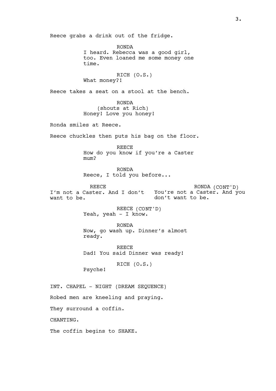Reece grabs a drink out of the fridge.

RONDA I heard. Rebecca was a good girl, too. Even loaned me some money one time.

RICH (O.S.) What money?!

Reece takes a seat on a stool at the bench.

RONDA (shouts at Rich) Honey! Love you honey!

Ronda smiles at Reece.

Reece chuckles then puts his bag on the floor.

REECE How do you know if you're a Caster mum?

RONDA Reece, I told you before...

REECE I'm not a Caster. And I don't want to be. RONDA (CONT'D) You're not a Caster. And you don't want to be.

> REECE (CONT'D) Yeah, yeah - I know.

RONDA Now, go wash up. Dinner's almost ready.

REECE Dad! You said Dinner was ready!

RICH (O.S.)

INT. CHAPEL - NIGHT (DREAM SEQUENCE)

Robed men are kneeling and praying.

They surround a coffin.

CHANTING.

The coffin begins to SHAKE.

Psyche!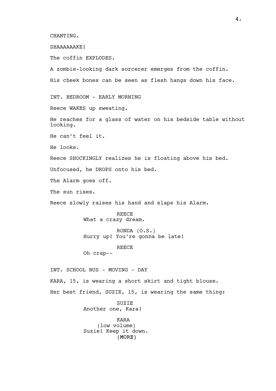CHANTING.

SHAAAAAAKE!

The coffin EXPLODES.

(MORE) A zombie-looking dark sorcerer emerges from the coffin. His cheek bones can be seen as flesh hangs down his face. INT. BEDROOM - EARLY MORNING Reece WAKES up sweating. He reaches for a glass of water on his bedside table without looking. He can't feel it. He looks. Reece SHOCKINGLY realizes he is floating above his bed. Unfocused, he DROPS onto his bed. The Alarm goes off. The sun rises. Reece slowly raises his hand and slaps his Alarm. REECE What a crazy dream. RONDA (O.S.) Hurry up! You're gonna be late! REECE Oh crap-- INT. SCHOOL BUS - MOVING - DAY KARA, 15, is wearing a short skirt and tight blouse. Her best friend, SUZIE, 15, is wearing the same thing: SUZIE Another one, Kara! KARA (low volume) Suzie! Keep it down.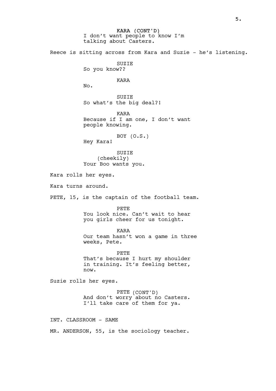KARA (CONT'D) I don't want people to know I'm talking about Casters. Reece is sitting across from Kara and Suzie - he's listening. SUZIE So you know?? KARA No. **SUZIE** So what's the big deal?! KARA Because if I am one, I don't want people knowing. BOY (O.S.) Hey Kara! SUZIE (cheekily) Your Boo wants you. Kara rolls her eyes. Kara turns around. PETE, 15, is the captain of the football team. PETE You look nice. Can't wait to hear you girls cheer for us tonight. KARA Our team hasn't won a game in three weeks, Pete. PETE That's because I hurt my shoulder in training. It's feeling better, now. Suzie rolls her eyes. PETE (CONT'D) And don't worry about no Casters. I'll take care of them for ya. INT. CLASSROOM - SAME MR. ANDERSON, 55, is the sociology teacher.

5.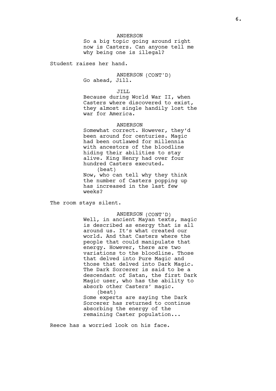ANDERSON So a big topic going around right now is Casters. Can anyone tell me why being one is illegal?

Student raises her hand.

ANDERSON (CONT'D) Go ahead, Jill.

JILL

Because during World War II, when Casters where discovered to exist, they almost single handily lost the war for America.

#### ANDERSON

Somewhat correct. However, they'd been around for centuries. Magic had been outlawed for millennia with ancestors of the bloodline hiding their abilities to stay alive. King Henry had over four hundred Casters executed. (beat)

Now, who can tell why they think the number of Casters popping up has increased in the last few weeks?

The room stays silent.

ANDERSON (CONT'D)

Well, in ancient Mayan texts, magic is described as energy that is all around us. It's what created our world. And that Casters where the people that could manipulate that energy. However, there are two variations to the bloodline. Those that delved into Pure Magic and those that delved into Dark Magic. The Dark Sorcerer is said to be a descendant of Satan, the first Dark Magic user, who has the ability to absorb other Casters' magic. (beat)

Some experts are saying the Dark Sorcerer has returned to continue absorbing the energy of the remaining Caster population...

Reece has a worried look on his face.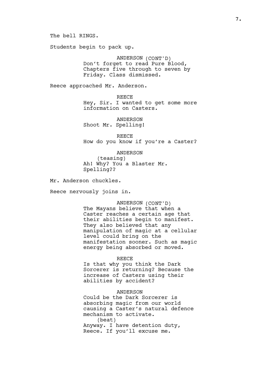The bell RINGS.

Students begin to pack up.

ANDERSON (CONT'D) Don't forget to read Pure Blood, Chapters five through to seven by Friday. Class dismissed.

Reece approached Mr. Anderson.

**REECE** Hey, Sir. I wanted to get some more information on Casters.

**ANDERSON** Shoot Mr. Spelling!

REECE How do you know if you're a Caster?

ANDERSON

(teasing) Ah! Why? You a Blaster Mr. Spelling??

Mr. Anderson chuckles.

Reece nervously joins in.

ANDERSON (CONT'D)

The Mayans believe that when a Caster reaches a certain age that their abilities begin to manifest. They also believed that any manipulation of magic at a cellular level could bring on the manifestation sooner. Such as magic energy being absorbed or moved.

REECE

Is that why you think the Dark Sorcerer is returning? Because the increase of Casters using their abilities by accident?

## ANDERSON

Could be the Dark Sorcerer is absorbing magic from our world causing a Caster's natural defence mechanism to activate. (beat) Anyway. I have detention duty, Reece. If you'll excuse me.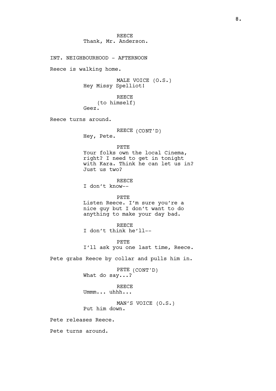**REECE** Thank, Mr. Anderson. INT. NEIGHBOURHOOD - AFTERNOON Reece is walking home. MALE VOICE (O.S.) Hey Missy Spelliot! REECE (to himself) Geez. Reece turns around. REECE (CONT'D) Hey, Pete. PETE Your folks own the local Cinema, right? I need to get in tonight with Kara. Think he can let us in? Just us two? REECE I don't know-- PETE Listen Reece. I'm sure you're a nice guy but I don't want to do anything to make your day bad. REECE I don't think he'll-- PETE I'll ask you one last time, Reece. Pete grabs Reece by collar and pulls him in. PETE (CONT'D) What do say...? REECE Ummm... uhhh... MAN'S VOICE (O.S.) Put him down. Pete releases Reece. Pete turns around.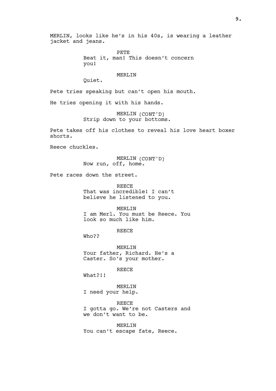MERLIN, looks like he's in his 40s, is wearing a leather jacket and jeans.

> PETE Beat it, man! This doesn't concern you!

### MERLIN

Quiet.

Pete tries speaking but can't open his mouth.

He tries opening it with his hands.

MERLIN (CONT'D) Strip down to your bottoms.

Pete takes off his clothes to reveal his love heart boxer shorts.

Reece chuckles.

MERLIN (CONT'D) Now run, off, home.

Pete races down the street.

REECE That was incredible! I can't believe he listened to you.

MERLIN I am Merl. You must be Reece. You look so much like him.

**REECE** 

Who??

MERLIN Your father, Richard. He's a Caster. So's your mother.

REECE

What?!!

MERLIN I need your help.

**REECE** I gotta go. We're not Casters and we don't want to be.

MERLIN You can't escape fate, Reece.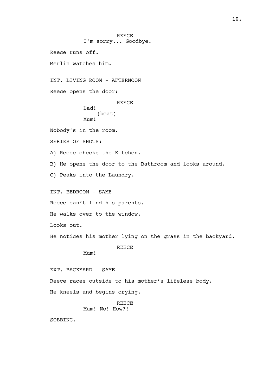**REECE** I'm sorry... Goodbye. Reece runs off. Merlin watches him. INT. LIVING ROOM - AFTERNOON Reece opens the door: REECE Dad! (beat) Mum! Nobody's in the room. SERIES OF SHOTS: A) Reece checks the Kitchen. B) He opens the door to the Bathroom and looks around. C) Peaks into the Laundry. INT. BEDROOM - SAME Reece can't find his parents. He walks over to the window. Looks out. He notices his mother lying on the grass in the backyard. REECE Mum! EXT. BACKYARD - SAME Reece races outside to his mother's lifeless body. He kneels and begins crying. REECE Mum! No! How?! SOBBING.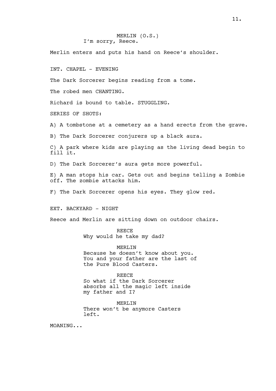## MERLIN (O.S.) I'm sorry, Reece.

Merlin enters and puts his hand on Reece's shoulder.

INT. CHAPEL - EVENING

The Dark Sorcerer begins reading from a tome.

The robed men CHANTING.

Richard is bound to table. STUGGLING.

SERIES OF SHOTS:

A) A tombstone at a cemetery as a hand erects from the grave.

B) The Dark Sorcerer conjurers up a black aura.

C) A park where kids are playing as the living dead begin to fill it.

D) The Dark Sorcerer's aura gets more powerful.

E) A man stops his car. Gets out and begins telling a Zombie off. The zombie attacks him.

F) The Dark Sorcerer opens his eyes. They glow red.

#### EXT. BACKYARD - NIGHT

Reece and Merlin are sitting down on outdoor chairs.

REECE Why would he take my dad?

MERLIN Because he doesn't know about you. You and your father are the last of the Pure Blood Casters.

REECE So what if the Dark Sorcerer absorbs all the magic left inside my father and I?

MERLIN There won't be anymore Casters left.

MOANING...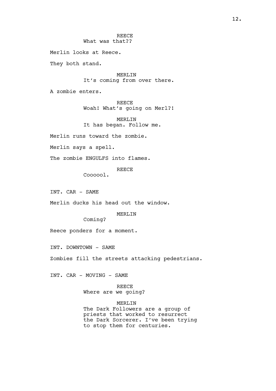**REECE** What was that??

Merlin looks at Reece.

They both stand.

MERLIN It's coming from over there.

A zombie enters.

REECE Woah! What's going on Merl?!

MERLIN It has began. Follow me.

Merlin runs toward the zombie.

Merlin says a spell.

The zombie ENGULFS into flames.

REECE

Coooool.

INT. CAR - SAME

Merlin ducks his head out the window.

MERLIN

Coming?

Reece ponders for a moment.

INT. DOWNTOWN - SAME

Zombies fill the streets attacking pedestrians.

INT. CAR - MOVING - SAME

REECE Where are we going?

MERLIN The Dark Followers are a group of priests that worked to resurrect the Dark Sorcerer. I've been trying to stop them for centuries.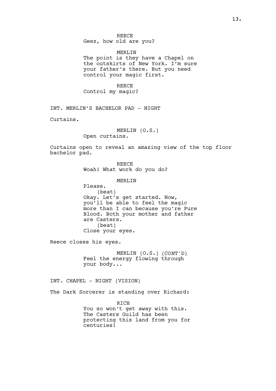**REECE** Geez, how old are you?

MERLIN The point is they have a Chapel on the outskirts of New York. I'm sure your father's there. But you need control your magic first.

REECE Control my magic?

INT. MERLIN'S BACHELOR PAD - NIGHT

Curtains.

MERLIN (O.S.) Open curtains.

Curtains open to reveal an amazing view of the top floor bachelor pad.

> REECE Woah! What work do you do?

> > MERLIN

Please. (beat) Okay. Let's get started. Now, you'll be able to feel the magic more than I can because you're Pure Blood. Both your mother and father are Casters. (beat) Close your eyes.

Reece closes his eyes.

MERLIN (O.S.) (CONT'D) Feel the energy flowing through your body...

INT. CHAPEL - NIGHT (VISION)

The Dark Sorcerer is standing over Richard:

**RTCH** You so won't get away with this. The Casters Guild has been protecting this land from you for centuries!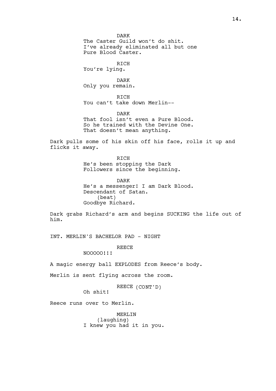DARK The Caster Guild won't do shit. I've already eliminated all but one Pure Blood Caster. RICH You're lying. DARK Only you remain. **RTCH** You can't take down Merlin-- DARK That fool isn't even a Pure Blood. So he trained with the Devine One. That doesn't mean anything. Dark pulls some of his skin off his face, rolls it up and flicks it away. RICH He's been stopping the Dark Followers since the beginning. DARK He's a messenger! I am Dark Blood. Descendant of Satan. (beat) Goodbye Richard. Dark grabs Richard's arm and begins SUCKING the life out of him. INT. MERLIN'S BACHELOR PAD - NIGHT REECE NOOOOO!!! A magic energy ball EXPLODES from Reece's body.

Merlin is sent flying across the room.

REECE (CONT'D)

Oh shit!

Reece runs over to Merlin.

MERIJN (laughing) I knew you had it in you.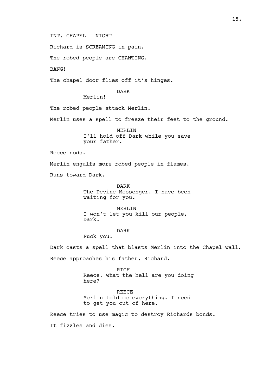INT. CHAPEL - NIGHT

Richard is SCREAMING in pain.

The robed people are CHANTING.

BANG!

The chapel door flies off it's hinges.

DARK

Merlin!

The robed people attack Merlin.

Merlin uses a spell to freeze their feet to the ground.

MERLIN I'll hold off Dark while you save your father.

Reece nods.

Merlin engulfs more robed people in flames.

Runs toward Dark.

DARK The Devine Messenger. I have been waiting for you.

MERLIN I won't let you kill our people, Dark.

DARK

Fuck you!

Dark casts a spell that blasts Merlin into the Chapel wall. Reece approaches his father, Richard.

> RICH Reece, what the hell are you doing here?

REECE Merlin told me everything. I need to get you out of here.

Reece tries to use magic to destroy Richards bonds.

It fizzles and dies.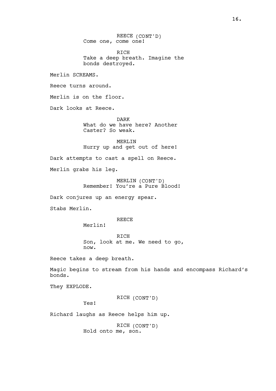REECE (CONT'D) Come one, come one!

RICH Take a deep breath. Imagine the bonds destroyed.

Merlin SCREAMS.

Reece turns around.

Merlin is on the floor.

Dark looks at Reece.

DARK What do we have here? Another Caster? So weak.

MERLIN Hurry up and get out of here!

Dark attempts to cast a spell on Reece.

Merlin grabs his leg.

MERLIN (CONT'D) Remember! You're a Pure Blood!

Dark conjures up an energy spear.

Stabs Merlin.

**REECE** 

Merlin! RICH

Son, look at me. We need to go, now.

Reece takes a deep breath.

Magic begins to stream from his hands and encompass Richard's bonds.

They EXPLODE.

RICH (CONT'D)

Yes!

Richard laughs as Reece helps him up.

RICH (CONT'D) Hold onto me, son.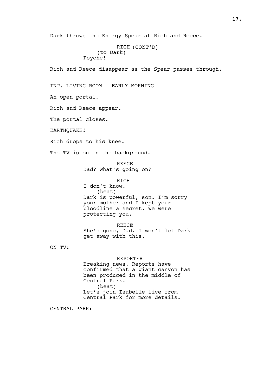Dark throws the Energy Spear at Rich and Reece.

```
RICH (CONT'D)
    (to Dark)
Psyche!
```
Rich and Reece disappear as the Spear passes through.

INT. LIVING ROOM - EARLY MORNING

An open portal.

Rich and Reece appear.

The portal closes.

EARTHOUAKE!

Rich drops to his knee.

The TV is on in the background.

REECE Dad? What's going on?

RICH

I don't know. (beat) Dark is powerful, son. I'm sorry your mother and I kept your bloodline a secret. We were protecting you.

REECE She's gone, Dad. I won't let Dark get away with this.

ON TV:

REPORTER

Breaking news. Reports have confirmed that a giant canyon has been produced in the middle of Central Park. (beat) Let's join Isabelle live from Central Park for more details.

CENTRAL PARK: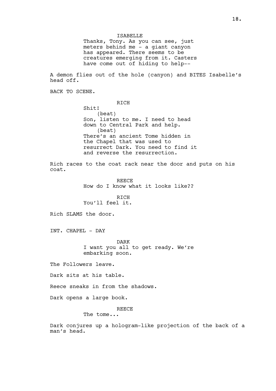Thanks, Tony. As you can see, just meters behind me - a giant canyon has appeared. There seems to be creatures emerging from it. Casters have come out of hiding to help--

A demon flies out of the hole (canyon) and BITES Isabelle's head off.

BACK TO SCENE.

RICH

Shit! (beat) Son, listen to me. I need to head down to Central Park and help. (beat) There's an ancient Tome hidden in the Chapel that was used to resurrect Dark. You need to find it and reverse the resurrection.

Rich races to the coat rack near the door and puts on his coat.

> REECE How do I know what it looks like??

RICH You'll feel it.

Rich SLAMS the door.

INT. CHAPEL - DAY

DARK I want you all to get ready. We're embarking soon.

The Followers leave.

Dark sits at his table.

Reece sneaks in from the shadows.

Dark opens a large book.

REECE

The tome...

Dark conjures up a hologram-like projection of the back of a man's head.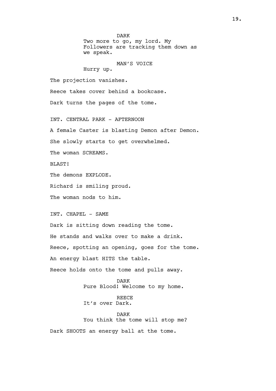DARK Two more to go, my lord. My Followers are tracking them down as we speak.

## MAN'S VOICE

Hurry up.

The projection vanishes.

Reece takes cover behind a bookcase.

Dark turns the pages of the tome.

INT. CENTRAL PARK - AFTERNOON

A female Caster is blasting Demon after Demon.

She slowly starts to get overwhelmed.

The woman SCREAMS.

BLAST!

The demons EXPLODE.

Richard is smiling proud.

The woman nods to him.

INT. CHAPEL - SAME

Dark is sitting down reading the tome. He stands and walks over to make a drink. Reece, spotting an opening, goes for the tome. An energy blast HITS the table.

Reece holds onto the tome and pulls away.

DARK Pure Blood! Welcome to my home.

REECE It's over Dark.

DARK You think the tome will stop me?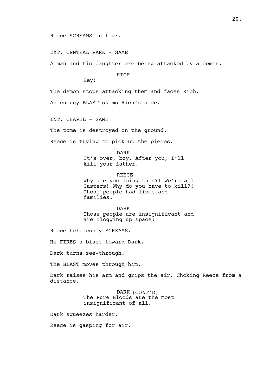# Reece SCREAMS in fear.

#### EXT. CENTRAL PARK - SAME

A man and his daughter are being attacked by a demon.

**RTCH** 

Hey!

The demon stops attacking them and faces Rich.

An energy BLAST skims Rich's side.

INT. CHAPEL - SAME

The tome is destroyed on the ground.

Reece is trying to pick up the pieces.

DARK

It's over, boy. After you, I'll kill your father.

REECE Why are you doing this?! We're all Casters! Why do you have to kill?! Those people had lives and families!

DARK Those people are insignificant and are clogging up space!

Reece helplessly SCREAMS.

He FIRES a blast toward Dark.

Dark turns see-through.

The BLAST moves through him.

Dark raises his arm and grips the air. Choking Reece from a distance.

> DARK (CONT'D) The Pure Bloods are the most insignificant of all.

Dark squeezes harder.

Reece is gasping for air.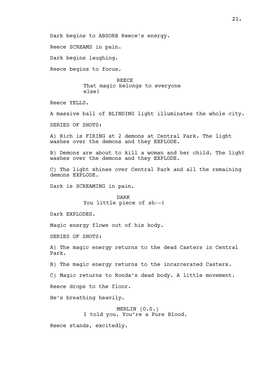Dark begins to ABSORB Reece's energy.

Reece SCREAMS in pain.

Dark begins laughing.

Reece begins to focus.

**REECE** That magic belongs to everyone else!

Reece YELLS.

A massive ball of BLINDING light illuminates the whole city.

SERIES OF SHOTS:

A) Rich is FIRING at 2 demons at Central Park. The light washes over the demons and they EXPLODE.

B) Demons are about to kill a woman and her child. The light washes over the demons and they EXPLODE.

C) The light shines over Central Park and all the remaining demons EXPLODE.

Dark is SCREAMING in pain.

DARK You little piece of sh--!

Dark EXPLODES.

Magic energy flows out of his body.

SERIES OF SHOTS:

A) The magic energy returns to the dead Casters in Central Park.

B) The magic energy returns to the incarcerated Casters.

C) Magic returns to Ronda's dead body. A little movement.

Reece drops to the floor.

He's breathing heavily.

MERLIN (O.S.) I told you. You're a Pure Blood.

Reece stands, excitedly.